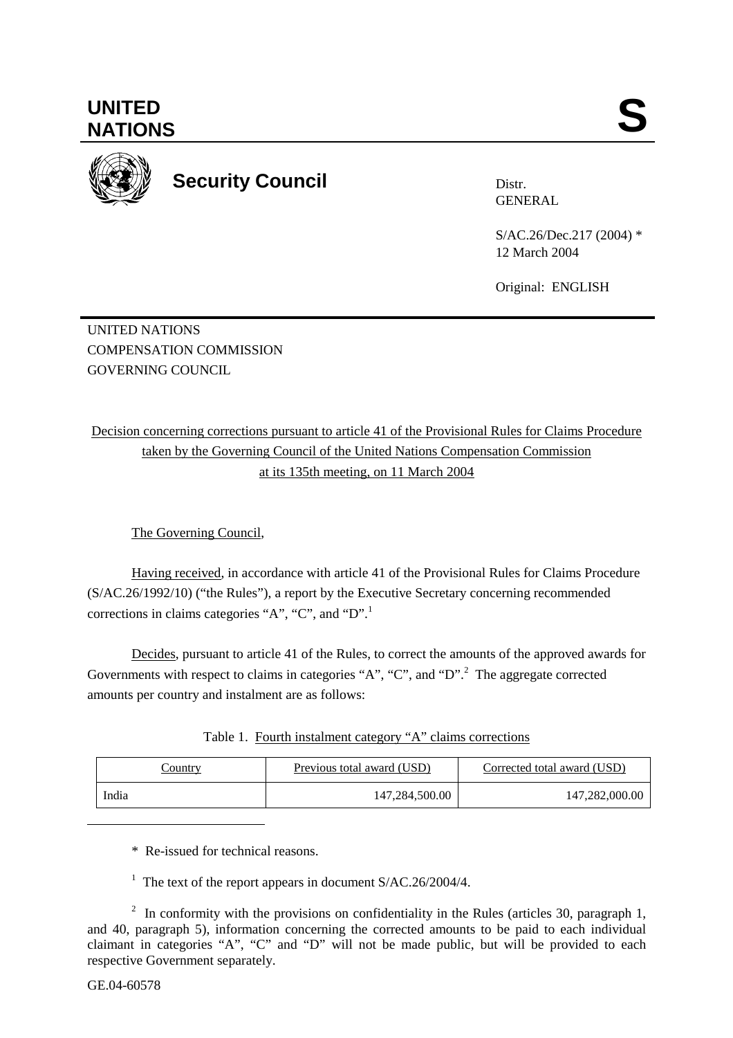

**Security Council** 

Distr. GENERAL

S/AC.26/Dec.217 (2004) \* 12 March 2004

Original: ENGLISH

UNITED NATIONS COMPENSATION COMMISSION GOVERNING COUNCIL

Decision concerning corrections pursuant to article 41 of the Provisional Rules for Claims Procedure taken by the Governing Council of the United Nations Compensation Commission at its 135th meeting, on 11 March 2004

The Governing Council,

Having received, in accordance with article 41 of the Provisional Rules for Claims Procedure (S/AC.26/1992/10) ("the Rules"), a report by the Executive Secretary concerning recommended corrections in claims categories "A", "C", and "D".<sup>1</sup>

Decides, pursuant to article 41 of the Rules, to correct the amounts of the approved awards for Governments with respect to claims in categories "A", "C", and "D".<sup>2</sup> The aggregate corrected amounts per country and instalment are as follows:

| Table 1. Fourth instalment category "A" claims corrections |  |  |
|------------------------------------------------------------|--|--|
|                                                            |  |  |
|                                                            |  |  |

| <u>Country</u> | <u>Previous total award (USD)</u> | Corrected total award (USD) |
|----------------|-----------------------------------|-----------------------------|
| India          | 147,284,500.00                    | 147,282,000.00              |

\* Re-issued for technical reasons.

<sup>1</sup> The text of the report appears in document  $S/AC.26/2004/4$ .

<sup>2</sup> In conformity with the provisions on confidentiality in the Rules (articles 30, paragraph 1, and 40, paragraph 5), information concerning the corrected amounts to be paid to each individual claimant in categories "A", "C" and "D" will not be made public, but will be provided to each respective Government separately.

l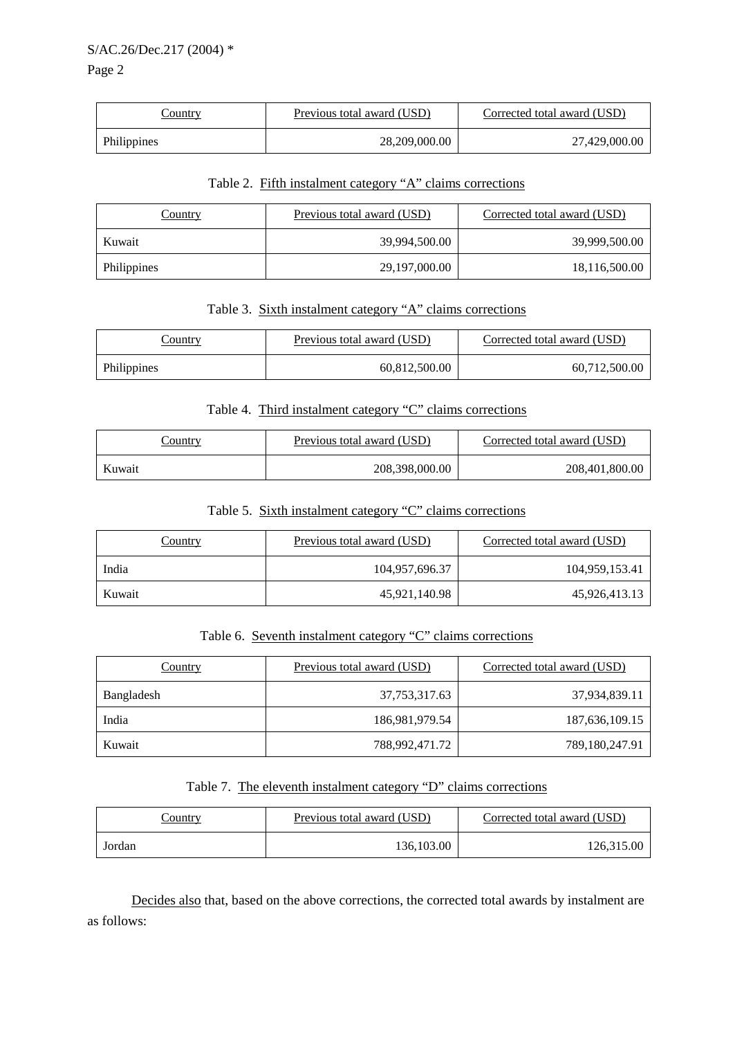| <u>Country</u> | Previous total award (USD) | Corrected total award (USD) |
|----------------|----------------------------|-----------------------------|
| Philippines    | 28,209,000.00              | 27,429,000.00               |

### Table 2. Fifth instalment category "A" claims corrections

| <b>Country</b> | Previous total award (USD) | Corrected total award (USD) |
|----------------|----------------------------|-----------------------------|
| Kuwait         | 39,994,500.00              | 39,999,500.00               |
| Philippines    | 29,197,000.00              | 18,116,500.00               |

### Table 3. Sixth instalment category "A" claims corrections

| <u>Country</u> | Previous total award (USD) | Corrected total award (USD) |
|----------------|----------------------------|-----------------------------|
| Philippines    | 60,812,500.00              | 60.712.500.00               |

#### Table 4. Third instalment category "C" claims corrections

| <u>Country</u> | Previous total award (USD) | Corrected total award (USD) |
|----------------|----------------------------|-----------------------------|
| Kuwait         | 208,398,000.00             | 208,401,800.00              |

#### Table 5. Sixth instalment category "C" claims corrections

| <b>Country</b> | Previous total award (USD) | Corrected total award (USD) |
|----------------|----------------------------|-----------------------------|
| India          | 104,957,696.37             | 104,959,153.41              |
| Kuwait         | 45,921,140.98              | 45,926,413.13               |

## Table 6. Seventh instalment category "C" claims corrections

| Country    | Previous total award (USD) | Corrected total award (USD) |
|------------|----------------------------|-----------------------------|
| Bangladesh | 37, 753, 317. 63           | 37,934,839.11               |
| India      | 186,981,979.54             | 187,636,109.15              |
| Kuwait     | 788,992,471.72             | 789,180,247.91              |

### Table 7. The eleventh instalment category "D" claims corrections

| <u>Country</u> | <b>Previous total award (USD)</b> | Corrected total award (USD) |
|----------------|-----------------------------------|-----------------------------|
| Jordan         | 136,103.00                        | 126,315.00                  |

Decides also that, based on the above corrections, the corrected total awards by instalment are as follows: